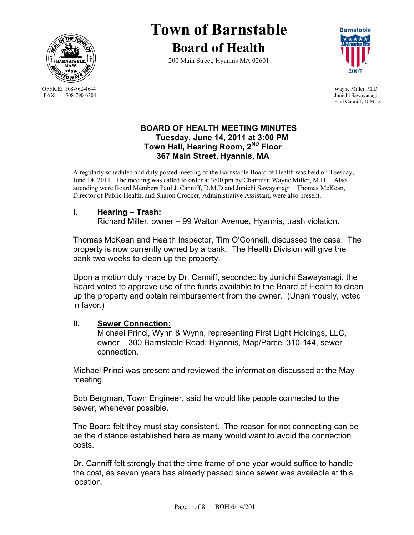

 OFFICE: 508-862-4644 Wayne Miller, M.D. FAX: 508-790-6304 Junichi Sawayanagi

**Town of Barnstable Board of Health**

200 Main Street, Hyannis MA 02601



Paul Canniff, D.M.D.

## **BOARD OF HEALTH MEETING MINUTES Tuesday, June 14, 2011 at 3:00 PM Town Hall, Hearing Room, 2ND Floor 367 Main Street, Hyannis, MA**

A regularly scheduled and duly posted meeting of the Barnstable Board of Health was held on Tuesday, June 14, 2011. The meeting was called to order at 3:00 pm by Chairman Wayne Miller, M.D. Also attending were Board Members Paul J. Canniff, D.M.D and Junichi Sawayanagi. Thomas McKean, Director of Public Health, and Sharon Crocker, Administrative Assistant, were also present.

## **I. Hearing – Trash:**

Richard Miller, owner – 99 Walton Avenue, Hyannis, trash violation.

Thomas McKean and Health Inspector, Tim O'Connell, discussed the case. The property is now currently owned by a bank. The Health Division will give the bank two weeks to clean up the property.

Upon a motion duly made by Dr. Canniff, seconded by Junichi Sawayanagi, the Board voted to approve use of the funds available to the Board of Health to clean up the property and obtain reimbursement from the owner. (Unanimously, voted in favor.)

### **II. Sewer Connection:**

 Michael Princi, Wynn & Wynn, representing First Light Holdings, LLC, owner – 300 Barnstable Road, Hyannis, Map/Parcel 310-144, sewer connection.

Michael Princi was present and reviewed the information discussed at the May meeting.

Bob Bergman, Town Engineer, said he would like people connected to the sewer, whenever possible.

The Board felt they must stay consistent. The reason for not connecting can be be the distance established here as many would want to avoid the connection costs.

Dr. Canniff felt strongly that the time frame of one year would suffice to handle the cost, as seven years has already passed since sewer was available at this location.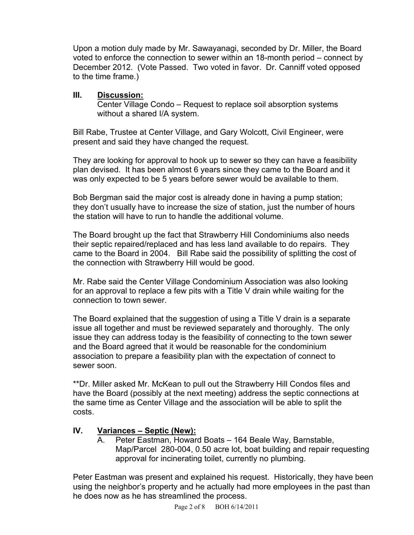Upon a motion duly made by Mr. Sawayanagi, seconded by Dr. Miller, the Board voted to enforce the connection to sewer within an 18-month period – connect by December 2012. (Vote Passed. Two voted in favor. Dr. Canniff voted opposed to the time frame.)

## **III. Discussion:**

 Center Village Condo – Request to replace soil absorption systems without a shared I/A system.

Bill Rabe, Trustee at Center Village, and Gary Wolcott, Civil Engineer, were present and said they have changed the request.

They are looking for approval to hook up to sewer so they can have a feasibility plan devised. It has been almost 6 years since they came to the Board and it was only expected to be 5 years before sewer would be available to them.

Bob Bergman said the major cost is already done in having a pump station; they don't usually have to increase the size of station, just the number of hours the station will have to run to handle the additional volume.

The Board brought up the fact that Strawberry Hill Condominiums also needs their septic repaired/replaced and has less land available to do repairs. They came to the Board in 2004. Bill Rabe said the possibility of splitting the cost of the connection with Strawberry Hill would be good.

Mr. Rabe said the Center Village Condominium Association was also looking for an approval to replace a few pits with a Title V drain while waiting for the connection to town sewer.

The Board explained that the suggestion of using a Title V drain is a separate issue all together and must be reviewed separately and thoroughly. The only issue they can address today is the feasibility of connecting to the town sewer and the Board agreed that it would be reasonable for the condominium association to prepare a feasibility plan with the expectation of connect to sewer soon.

\*\*Dr. Miller asked Mr. McKean to pull out the Strawberry Hill Condos files and have the Board (possibly at the next meeting) address the septic connections at the same time as Center Village and the association will be able to split the costs.

# **IV. Variances – Septic (New):**

A. Peter Eastman, Howard Boats – 164 Beale Way, Barnstable, Map/Parcel 280-004, 0.50 acre lot, boat building and repair requesting approval for incinerating toilet, currently no plumbing.

Peter Eastman was present and explained his request. Historically, they have been using the neighbor's property and he actually had more employees in the past than he does now as he has streamlined the process.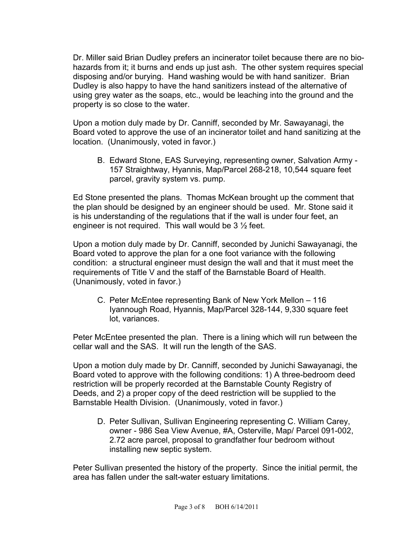Dr. Miller said Brian Dudley prefers an incinerator toilet because there are no biohazards from it; it burns and ends up just ash. The other system requires special disposing and/or burying. Hand washing would be with hand sanitizer. Brian Dudley is also happy to have the hand sanitizers instead of the alternative of using grey water as the soaps, etc., would be leaching into the ground and the property is so close to the water.

Upon a motion duly made by Dr. Canniff, seconded by Mr. Sawayanagi, the Board voted to approve the use of an incinerator toilet and hand sanitizing at the location. (Unanimously, voted in favor.)

B. Edward Stone, EAS Surveying, representing owner, Salvation Army - 157 Straightway, Hyannis, Map/Parcel 268-218, 10,544 square feet parcel, gravity system vs. pump.

Ed Stone presented the plans. Thomas McKean brought up the comment that the plan should be designed by an engineer should be used. Mr. Stone said it is his understanding of the regulations that if the wall is under four feet, an engineer is not required. This wall would be  $3\frac{1}{2}$  feet.

Upon a motion duly made by Dr. Canniff, seconded by Junichi Sawayanagi, the Board voted to approve the plan for a one foot variance with the following condition: a structural engineer must design the wall and that it must meet the requirements of Title V and the staff of the Barnstable Board of Health. (Unanimously, voted in favor.)

C. Peter McEntee representing Bank of New York Mellon – 116 Iyannough Road, Hyannis, Map/Parcel 328-144, 9,330 square feet lot, variances.

Peter McEntee presented the plan. There is a lining which will run between the cellar wall and the SAS. It will run the length of the SAS.

Upon a motion duly made by Dr. Canniff, seconded by Junichi Sawayanagi, the Board voted to approve with the following conditions: 1) A three-bedroom deed restriction will be properly recorded at the Barnstable County Registry of Deeds, and 2) a proper copy of the deed restriction will be supplied to the Barnstable Health Division. (Unanimously, voted in favor.)

D. Peter Sullivan, Sullivan Engineering representing C. William Carey, owner - 986 Sea View Avenue, #A, Osterville, Map/ Parcel 091-002, 2.72 acre parcel, proposal to grandfather four bedroom without installing new septic system.

Peter Sullivan presented the history of the property. Since the initial permit, the area has fallen under the salt-water estuary limitations.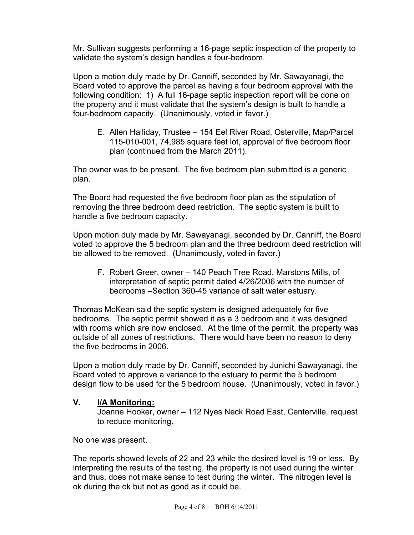Mr. Sullivan suggests performing a 16-page septic inspection of the property to validate the system's design handles a four-bedroom.

Upon a motion duly made by Dr. Canniff, seconded by Mr. Sawayanagi, the Board voted to approve the parcel as having a four bedroom approval with the following condition: 1) A full 16-page septic inspection report will be done on the property and it must validate that the system's design is built to handle a four-bedroom capacity. (Unanimously, voted in favor.)

E. Allen Halliday, Trustee – 154 Eel River Road, Osterville, Map/Parcel 115-010-001, 74,985 square feet lot, approval of five bedroom floor plan (continued from the March 2011).

The owner was to be present. The five bedroom plan submitted is a generic plan.

The Board had requested the five bedroom floor plan as the stipulation of removing the three bedroom deed restriction. The septic system is built to handle a five bedroom capacity.

Upon motion duly made by Mr. Sawayanagi, seconded by Dr. Canniff, the Board voted to approve the 5 bedroom plan and the three bedroom deed restriction will be allowed to be removed. (Unanimously, voted in favor.)

F. Robert Greer, owner – 140 Peach Tree Road, Marstons Mills, of interpretation of septic permit dated 4/26/2006 with the number of bedrooms –Section 360-45 variance of salt water estuary.

Thomas McKean said the septic system is designed adequately for five bedrooms. The septic permit showed it as a 3 bedroom and it was designed with rooms which are now enclosed. At the time of the permit, the property was outside of all zones of restrictions. There would have been no reason to deny the five bedrooms in 2006.

Upon a motion duly made by Dr. Canniff, seconded by Junichi Sawayanagi, the Board voted to approve a variance to the estuary to permit the 5 bedroom design flow to be used for the 5 bedroom house. (Unanimously, voted in favor.)

## **V. I/A Monitoring:**

 Joanne Hooker, owner – 112 Nyes Neck Road East, Centerville, request to reduce monitoring.

No one was present.

The reports showed levels of 22 and 23 while the desired level is 19 or less. By interpreting the results of the testing, the property is not used during the winter and thus, does not make sense to test during the winter. The nitrogen level is ok during the ok but not as good as it could be.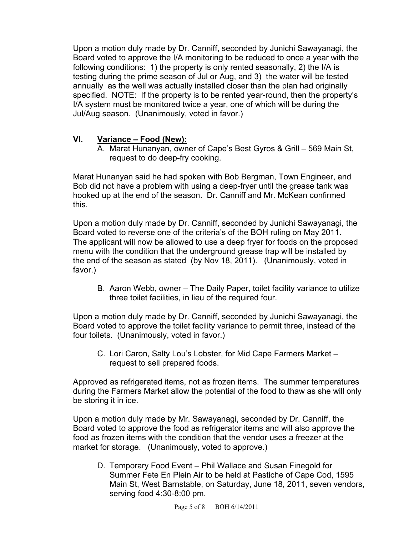Upon a motion duly made by Dr. Canniff, seconded by Junichi Sawayanagi, the Board voted to approve the I/A monitoring to be reduced to once a year with the following conditions: 1) the property is only rented seasonally, 2) the I/A is testing during the prime season of Jul or Aug, and 3) the water will be tested annually as the well was actually installed closer than the plan had originally specified. NOTE: If the property is to be rented year-round, then the property's I/A system must be monitored twice a year, one of which will be during the Jul/Aug season. (Unanimously, voted in favor.)

# **VI. Variance – Food (New):**

A. Marat Hunanyan, owner of Cape's Best Gyros & Grill – 569 Main St, request to do deep-fry cooking.

Marat Hunanyan said he had spoken with Bob Bergman, Town Engineer, and Bob did not have a problem with using a deep-fryer until the grease tank was hooked up at the end of the season. Dr. Canniff and Mr. McKean confirmed this.

Upon a motion duly made by Dr. Canniff, seconded by Junichi Sawayanagi, the Board voted to reverse one of the criteria's of the BOH ruling on May 2011. The applicant will now be allowed to use a deep fryer for foods on the proposed menu with the condition that the underground grease trap will be installed by the end of the season as stated (by Nov 18, 2011). (Unanimously, voted in favor.)

B. Aaron Webb, owner – The Daily Paper, toilet facility variance to utilize three toilet facilities, in lieu of the required four.

Upon a motion duly made by Dr. Canniff, seconded by Junichi Sawayanagi, the Board voted to approve the toilet facility variance to permit three, instead of the four toilets. (Unanimously, voted in favor.)

C. Lori Caron, Salty Lou's Lobster, for Mid Cape Farmers Market – request to sell prepared foods.

Approved as refrigerated items, not as frozen items. The summer temperatures during the Farmers Market allow the potential of the food to thaw as she will only be storing it in ice.

Upon a motion duly made by Mr. Sawayanagi, seconded by Dr. Canniff, the Board voted to approve the food as refrigerator items and will also approve the food as frozen items with the condition that the vendor uses a freezer at the market for storage. (Unanimously, voted to approve.)

D. Temporary Food Event – Phil Wallace and Susan Finegold for Summer Fete En Plein Air to be held at Pastiche of Cape Cod, 1595 Main St, West Barnstable, on Saturday, June 18, 2011, seven vendors, serving food 4:30-8:00 pm.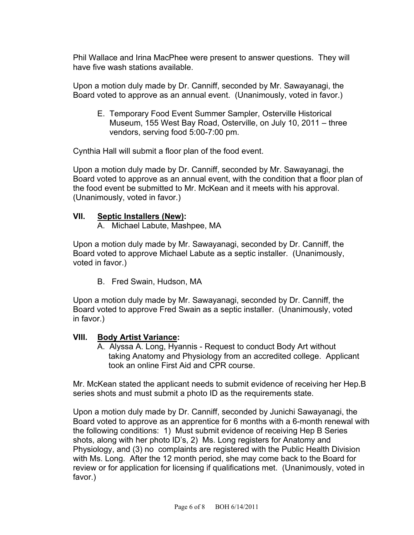Phil Wallace and Irina MacPhee were present to answer questions. They will have five wash stations available.

Upon a motion duly made by Dr. Canniff, seconded by Mr. Sawayanagi, the Board voted to approve as an annual event. (Unanimously, voted in favor.)

E. Temporary Food Event Summer Sampler, Osterville Historical Museum, 155 West Bay Road, Osterville, on July 10, 2011 – three vendors, serving food 5:00-7:00 pm.

Cynthia Hall will submit a floor plan of the food event.

Upon a motion duly made by Dr. Canniff, seconded by Mr. Sawayanagi, the Board voted to approve as an annual event, with the condition that a floor plan of the food event be submitted to Mr. McKean and it meets with his approval. (Unanimously, voted in favor.)

### **VII. Septic Installers (New):**

A. Michael Labute, Mashpee, MA

Upon a motion duly made by Mr. Sawayanagi, seconded by Dr. Canniff, the Board voted to approve Michael Labute as a septic installer. (Unanimously, voted in favor.)

B. Fred Swain, Hudson, MA

Upon a motion duly made by Mr. Sawayanagi, seconded by Dr. Canniff, the Board voted to approve Fred Swain as a septic installer. (Unanimously, voted in favor.)

### **VIII. Body Artist Variance:**

 A. Alyssa A. Long, Hyannis - Request to conduct Body Art without taking Anatomy and Physiology from an accredited college. Applicant took an online First Aid and CPR course.

Mr. McKean stated the applicant needs to submit evidence of receiving her Hep.B series shots and must submit a photo ID as the requirements state.

Upon a motion duly made by Dr. Canniff, seconded by Junichi Sawayanagi, the Board voted to approve as an apprentice for 6 months with a 6-month renewal with the following conditions: 1) Must submit evidence of receiving Hep B Series shots, along with her photo ID's, 2) Ms. Long registers for Anatomy and Physiology, and (3) no complaints are registered with the Public Health Division with Ms. Long. After the 12 month period, she may come back to the Board for review or for application for licensing if qualifications met. (Unanimously, voted in favor.)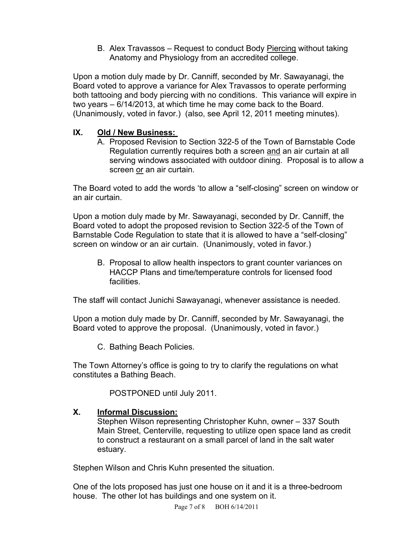B. Alex Travassos – Request to conduct Body Piercing without taking Anatomy and Physiology from an accredited college.

Upon a motion duly made by Dr. Canniff, seconded by Mr. Sawayanagi, the Board voted to approve a variance for Alex Travassos to operate performing both tattooing and body piercing with no conditions. This variance will expire in two years – 6/14/2013, at which time he may come back to the Board. (Unanimously, voted in favor.) (also, see April 12, 2011 meeting minutes).

## **IX. Old / New Business:**

A. Proposed Revision to Section 322-5 of the Town of Barnstable Code Regulation currently requires both a screen and an air curtain at all serving windows associated with outdoor dining. Proposal is to allow a screen or an air curtain.

The Board voted to add the words 'to allow a "self-closing" screen on window or an air curtain.

Upon a motion duly made by Mr. Sawayanagi, seconded by Dr. Canniff, the Board voted to adopt the proposed revision to Section 322-5 of the Town of Barnstable Code Regulation to state that it is allowed to have a "self-closing" screen on window or an air curtain. (Unanimously, voted in favor.)

B. Proposal to allow health inspectors to grant counter variances on HACCP Plans and time/temperature controls for licensed food facilities.

The staff will contact Junichi Sawayanagi, whenever assistance is needed.

Upon a motion duly made by Dr. Canniff, seconded by Mr. Sawayanagi, the Board voted to approve the proposal. (Unanimously, voted in favor.)

C. Bathing Beach Policies.

The Town Attorney's office is going to try to clarify the regulations on what constitutes a Bathing Beach.

POSTPONED until July 2011.

# **X. Informal Discussion:**

 Stephen Wilson representing Christopher Kuhn, owner – 337 South Main Street, Centerville, requesting to utilize open space land as credit to construct a restaurant on a small parcel of land in the salt water estuary.

Stephen Wilson and Chris Kuhn presented the situation.

One of the lots proposed has just one house on it and it is a three-bedroom house. The other lot has buildings and one system on it.